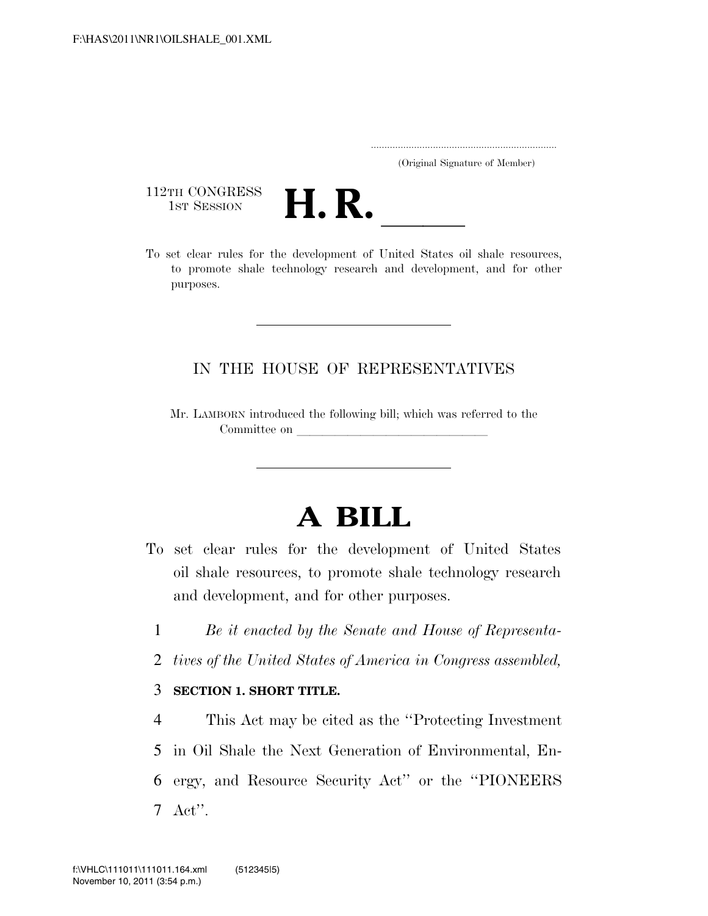..................................................................... (Original Signature of Member)

112TH CONGRESS<br>1st Session



112TH CONGRESS<br>1st SESSION<br>To set clear rules for the development of United States oil shale resources, to promote shale technology research and development, and for other purposes.

## IN THE HOUSE OF REPRESENTATIVES

Mr. LAMBORN introduced the following bill; which was referred to the Committee on

# **A BILL**

- To set clear rules for the development of United States oil shale resources, to promote shale technology research and development, and for other purposes.
	- 1 *Be it enacted by the Senate and House of Representa-*
	- 2 *tives of the United States of America in Congress assembled,*

#### 3 **SECTION 1. SHORT TITLE.**

 This Act may be cited as the ''Protecting Investment in Oil Shale the Next Generation of Environmental, En- ergy, and Resource Security Act'' or the ''PIONEERS 7 Act''.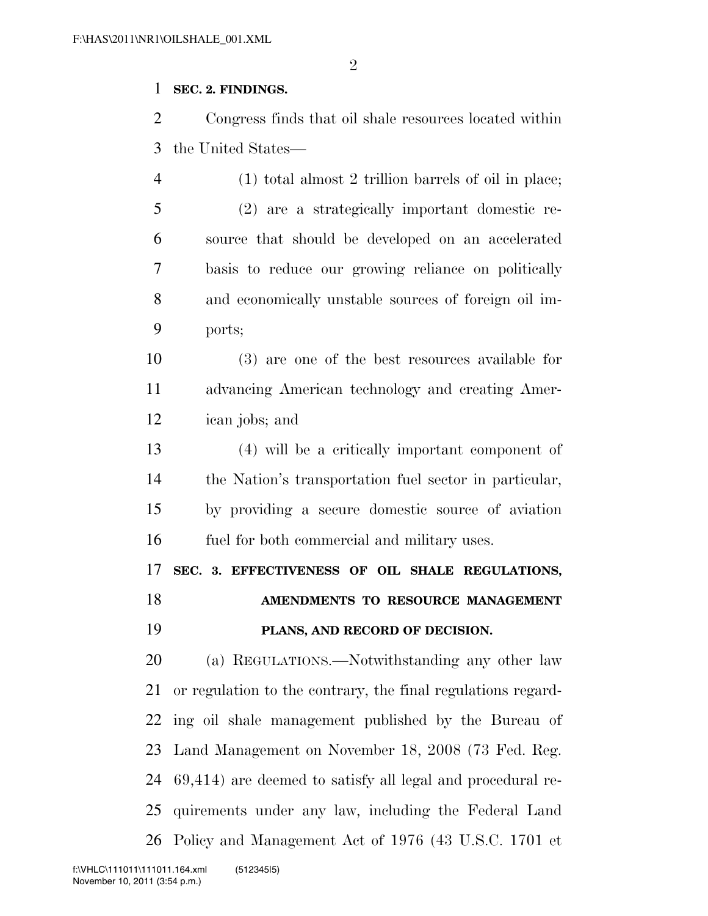### **SEC. 2. FINDINGS.**

 Congress finds that oil shale resources located within the United States—

 (1) total almost 2 trillion barrels of oil in place; (2) are a strategically important domestic re- source that should be developed on an accelerated basis to reduce our growing reliance on politically and economically unstable sources of foreign oil im-ports;

 (3) are one of the best resources available for advancing American technology and creating Amer-ican jobs; and

 (4) will be a critically important component of the Nation's transportation fuel sector in particular, by providing a secure domestic source of aviation fuel for both commercial and military uses.

 **SEC. 3. EFFECTIVENESS OF OIL SHALE REGULATIONS, AMENDMENTS TO RESOURCE MANAGEMENT** 

# **PLANS, AND RECORD OF DECISION.**

 (a) REGULATIONS.—Notwithstanding any other law or regulation to the contrary, the final regulations regard- ing oil shale management published by the Bureau of Land Management on November 18, 2008 (73 Fed. Reg. 69,414) are deemed to satisfy all legal and procedural re- quirements under any law, including the Federal Land Policy and Management Act of 1976 (43 U.S.C. 1701 et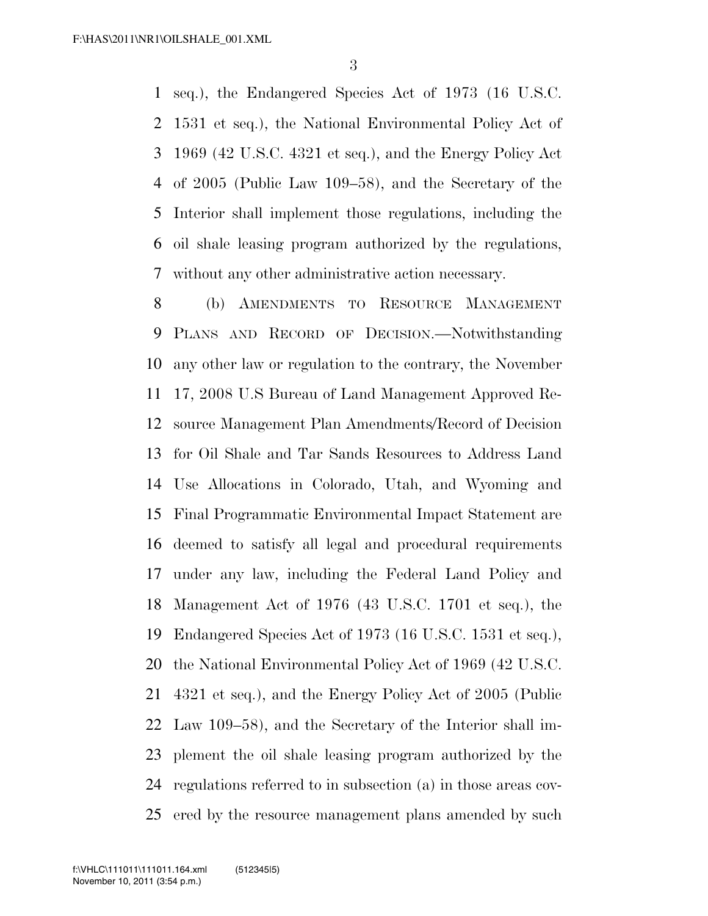seq.), the Endangered Species Act of 1973 (16 U.S.C. 1531 et seq.), the National Environmental Policy Act of 1969 (42 U.S.C. 4321 et seq.), and the Energy Policy Act of 2005 (Public Law 109–58), and the Secretary of the Interior shall implement those regulations, including the oil shale leasing program authorized by the regulations, without any other administrative action necessary.

 (b) AMENDMENTS TO RESOURCE MANAGEMENT PLANS AND RECORD OF DECISION.—Notwithstanding any other law or regulation to the contrary, the November 17, 2008 U.S Bureau of Land Management Approved Re- source Management Plan Amendments/Record of Decision for Oil Shale and Tar Sands Resources to Address Land Use Allocations in Colorado, Utah, and Wyoming and Final Programmatic Environmental Impact Statement are deemed to satisfy all legal and procedural requirements under any law, including the Federal Land Policy and Management Act of 1976 (43 U.S.C. 1701 et seq.), the Endangered Species Act of 1973 (16 U.S.C. 1531 et seq.), the National Environmental Policy Act of 1969 (42 U.S.C. 4321 et seq.), and the Energy Policy Act of 2005 (Public Law 109–58), and the Secretary of the Interior shall im- plement the oil shale leasing program authorized by the regulations referred to in subsection (a) in those areas cov-25 ered by the resource management plans amended by such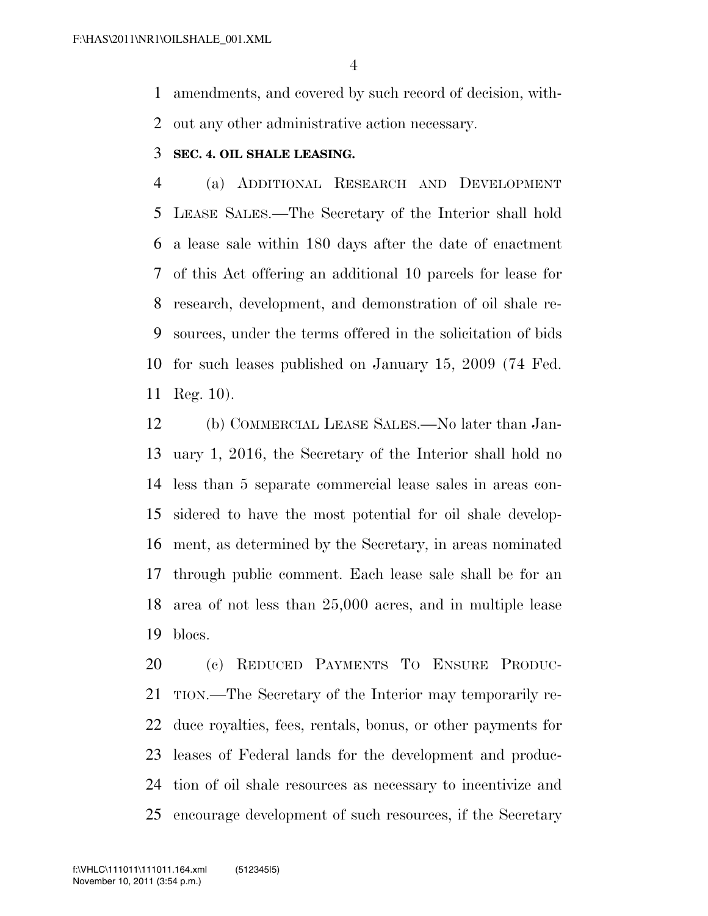amendments, and covered by such record of decision, with-out any other administrative action necessary.

#### **SEC. 4. OIL SHALE LEASING.**

 (a) ADDITIONAL RESEARCH AND DEVELOPMENT LEASE SALES.—The Secretary of the Interior shall hold a lease sale within 180 days after the date of enactment of this Act offering an additional 10 parcels for lease for research, development, and demonstration of oil shale re- sources, under the terms offered in the solicitation of bids for such leases published on January 15, 2009 (74 Fed. Reg. 10).

 (b) COMMERCIAL LEASE SALES.—No later than Jan- uary 1, 2016, the Secretary of the Interior shall hold no less than 5 separate commercial lease sales in areas con- sidered to have the most potential for oil shale develop- ment, as determined by the Secretary, in areas nominated through public comment. Each lease sale shall be for an area of not less than 25,000 acres, and in multiple lease blocs.

 (c) REDUCED PAYMENTS TO ENSURE PRODUC- TION.—The Secretary of the Interior may temporarily re- duce royalties, fees, rentals, bonus, or other payments for leases of Federal lands for the development and produc- tion of oil shale resources as necessary to incentivize and encourage development of such resources, if the Secretary